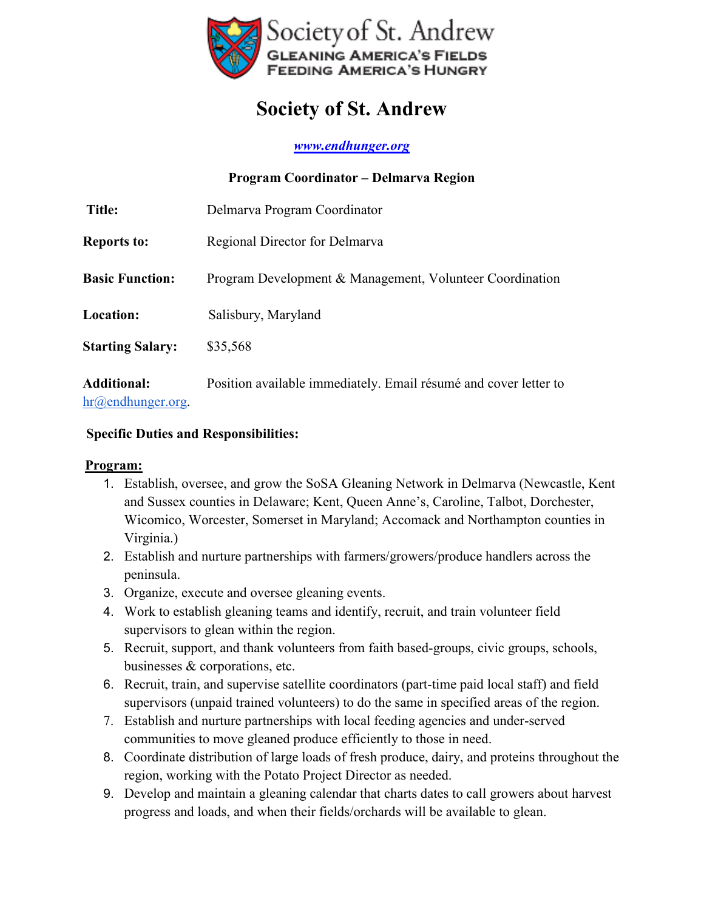

# **Society of St. Andrew**

*www.endhunger.org* 

|                                                                 | Program Coordinator – Delmarva Region                            |
|-----------------------------------------------------------------|------------------------------------------------------------------|
| <b>Title:</b>                                                   | Delmarva Program Coordinator                                     |
| <b>Reports to:</b>                                              | Regional Director for Delmarya                                   |
| <b>Basic Function:</b>                                          | Program Development & Management, Volunteer Coordination         |
| Location:                                                       | Salisbury, Maryland                                              |
| <b>Starting Salary:</b>                                         | \$35,568                                                         |
| <b>Additional:</b><br>$\text{hr}\textcircled{a}$ endhunger org. | Position available immediately. Email résumé and cover letter to |

#### **Specific Duties and Responsibilities:**

#### **Program:**

- 1. Establish, oversee, and grow the SoSA Gleaning Network in Delmarva (Newcastle, Kent and Sussex counties in Delaware; Kent, Queen Anne's, Caroline, Talbot, Dorchester, Wicomico, Worcester, Somerset in Maryland; Accomack and Northampton counties in Virginia.)
- 2. Establish and nurture partnerships with farmers/growers/produce handlers across the peninsula.
- 3. Organize, execute and oversee gleaning events.
- 4. Work to establish gleaning teams and identify, recruit, and train volunteer field supervisors to glean within the region.
- 5. Recruit, support, and thank volunteers from faith based-groups, civic groups, schools, businesses & corporations, etc.
- 6. Recruit, train, and supervise satellite coordinators (part-time paid local staff) and field supervisors (unpaid trained volunteers) to do the same in specified areas of the region.
- 7. Establish and nurture partnerships with local feeding agencies and under-served communities to move gleaned produce efficiently to those in need.
- 8. Coordinate distribution of large loads of fresh produce, dairy, and proteins throughout the region, working with the Potato Project Director as needed.
- 9. Develop and maintain a gleaning calendar that charts dates to call growers about harvest progress and loads, and when their fields/orchards will be available to glean.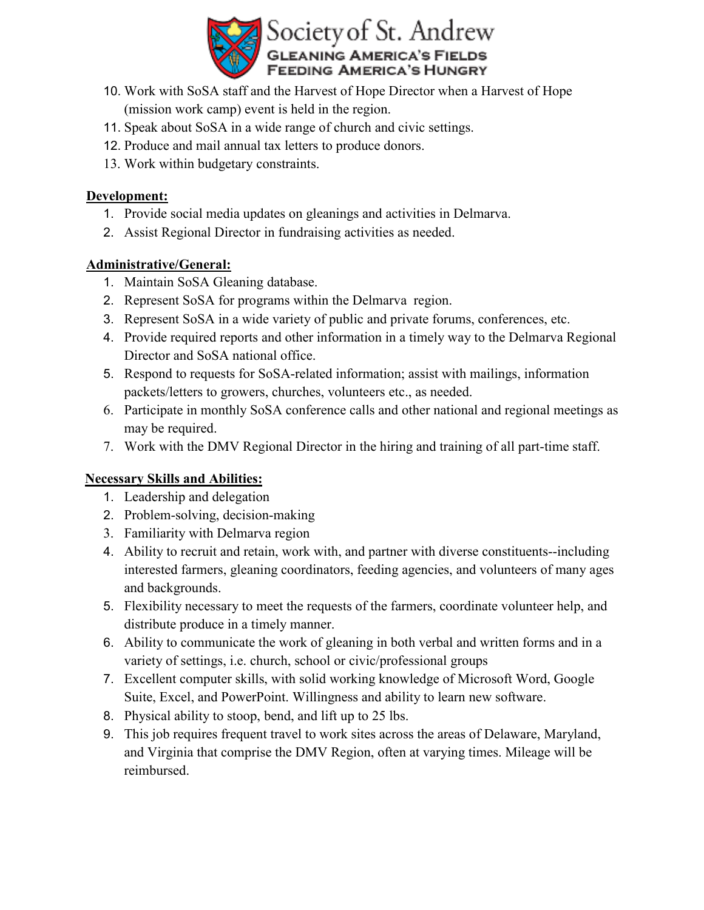

- 10. Work with SoSA staff and the Harvest of Hope Director when a Harvest of Hope (mission work camp) event is held in the region.
- 11. Speak about SoSA in a wide range of church and civic settings.
- 12. Produce and mail annual tax letters to produce donors.
- 13. Work within budgetary constraints.

### **Development:**

- 1. Provide social media updates on gleanings and activities in Delmarva.
- 2. Assist Regional Director in fundraising activities as needed.

## **Administrative/General:**

- 1. Maintain SoSA Gleaning database.
- 2. Represent SoSA for programs within the Delmarva region.
- 3. Represent SoSA in a wide variety of public and private forums, conferences, etc.
- 4. Provide required reports and other information in a timely way to the Delmarva Regional Director and SoSA national office.
- 5. Respond to requests for SoSA-related information; assist with mailings, information packets/letters to growers, churches, volunteers etc., as needed.
- 6. Participate in monthly SoSA conference calls and other national and regional meetings as may be required.
- 7. Work with the DMV Regional Director in the hiring and training of all part-time staff.

## **Necessary Skills and Abilities:**

- 1. Leadership and delegation
- 2. Problem-solving, decision-making
- 3. Familiarity with Delmarva region
- 4. Ability to recruit and retain, work with, and partner with diverse constituents--including interested farmers, gleaning coordinators, feeding agencies, and volunteers of many ages and backgrounds.
- 5. Flexibility necessary to meet the requests of the farmers, coordinate volunteer help, and distribute produce in a timely manner.
- 6. Ability to communicate the work of gleaning in both verbal and written forms and in a variety of settings, i.e. church, school or civic/professional groups
- 7. Excellent computer skills, with solid working knowledge of Microsoft Word, Google Suite, Excel, and PowerPoint. Willingness and ability to learn new software.
- 8. Physical ability to stoop, bend, and lift up to 25 lbs.
- 9. This job requires frequent travel to work sites across the areas of Delaware, Maryland, and Virginia that comprise the DMV Region, often at varying times. Mileage will be reimbursed.